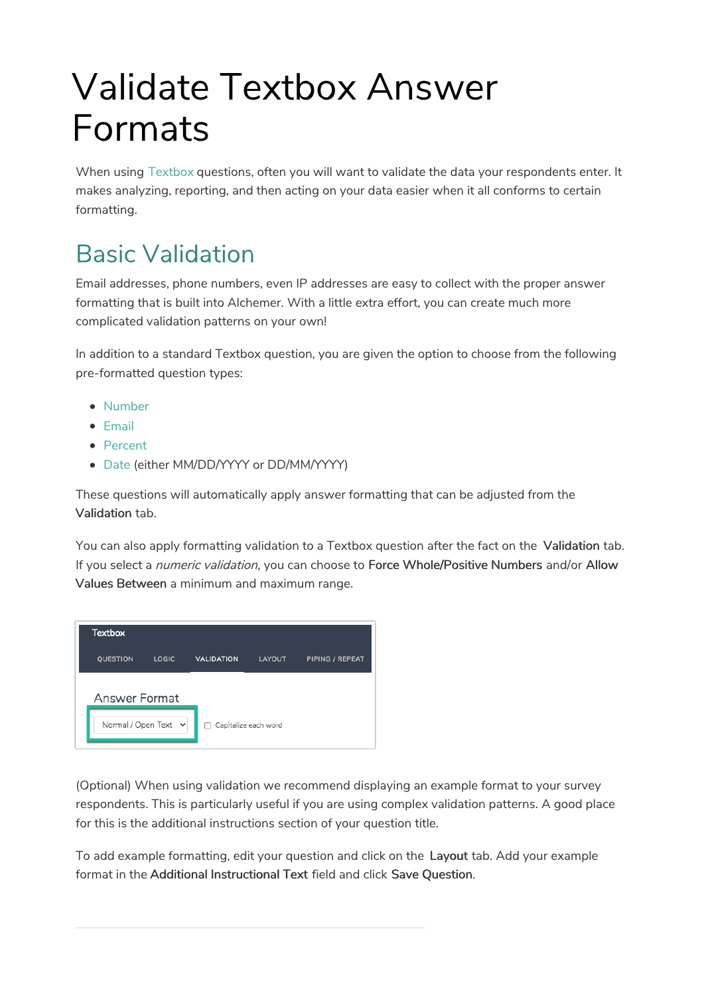# Validate Textbox Answer Formats

When using Textbox questions, often you will want to validate the data your respondents enter. It makes analyzing, reporting, and then acting on your data easier when it all conforms to certain formatting.

# Basic Validation

Email addresses, phone numbers, even IP addresses are easy to collect with the proper answer formatting that is built into Alchemer. With a little extra effort, you can create much more complicated validation patterns on your own!

In addition to a standard Textbox question, you are given the option to choose from the following pre-formatted question types:

- Number
- $\bullet$  Email
- Percent
- Date (either MM/DD/YYYY or DD/MM/YYYY)

These questions will automatically apply answer formatting that can be adjusted from the Validation tab.

You can also apply formatting validation to a Textbox question after the fact on the Validation tab. If you select a *numeric validation*, you can choose to Force Whole/Positive Numbers and/or Allow Values Between a minimum and maximum range.

| <b>Textbox</b>            |              |                   |                      |                 |
|---------------------------|--------------|-------------------|----------------------|-----------------|
| QUESTION                  | <b>LOGIC</b> | <b>VALIDATION</b> | LAYOUT               | PIPING / REPEAT |
| <b>Answer Format</b>      |              |                   |                      |                 |
| Normal / Open Text $\sim$ |              | $\Box$            | Capitalize each word |                 |

(Optional) When using validation we recommend displaying an example format to your survey respondents. This is particularly useful if you are using complex validation patterns. A good place for this is the additional instructions section of your question title.

To add example formatting, edit your question and click on the Layout tab. Add your example format in the Additional Instructional Text field and click Save Question.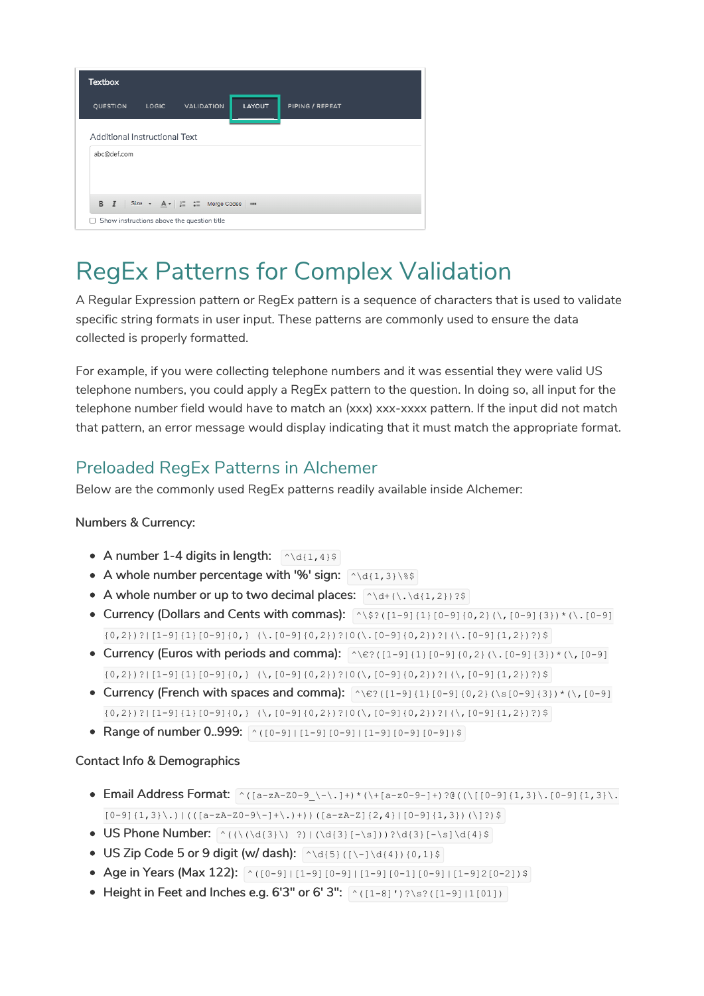| <b>Textbox</b>                |                                                       |               |                 |
|-------------------------------|-------------------------------------------------------|---------------|-----------------|
| <b>QUESTION</b>               | LOGIC VALIDATION                                      | <b>LAYOUT</b> | PIPING / REPEAT |
| Additional Instructional Text |                                                       |               |                 |
| abc@def.com                   |                                                       |               |                 |
|                               |                                                       |               |                 |
|                               | <b>B</b> $I$ Size - $A - \frac{1}{n} = 1$ Merge Codes |               |                 |
| Ιl                            | Show instructions above the question title            |               |                 |

# RegEx Patterns for Complex Validation

A Regular Expression pattern or RegEx pattern is a sequence of characters that is used to validate specific string formats in user input. These patterns are commonly used to ensure the data collected is properly formatted.

For example, if you were collecting telephone numbers and it was essential they were valid US telephone numbers, you could apply a RegEx pattern to the question. In doing so, all input for the telephone number field would have to match an (xxx) xxx-xxxx pattern. If the input did not match that pattern, an error message would display indicating that it must match the appropriate format.

#### Preloaded RegEx Patterns in Alchemer

Below are the commonly used RegEx patterns readily available inside Alchemer:

#### Numbers & Currency:

- A number 1-4 digits in length:  $\left[\sqrt{\frac{d(1,4)}{s}}\right]$
- A whole number percentage with '%' sign:  $\wedge$ \d{1,3}\\$\$
- A whole number or up to two decimal places:  $\wedge$  \d+(\.\d{1,2})?\$
- Currency (Dollars and Cents with commas):  $\sqrt{(32)(11-9)(11)(0-9)(0,2)(1,10-9)(3)}$  $\{(0,2)\}$ ?|[1-9]{1}[0-9]{0,} (\.[0-9]{0,2})?|0(\.[0-9]{0,2})?|(\.[0-9]{1,2})?)\$
- Currency (Euros with periods and comma):  $\wedge$ ( $\ge$  ([1-9]{1}[0-9]{0,2}(\,[0-9]{3})\*(\,[0-9]  $\{(0,2)\}:$ |[1-9] $\{1\}$ [0-9] $\{0,$ } (\,[0-9] $\{(0,2)\}:$ |0(\,[0-9] $\{(0,2)\}:$ |(\,[0-9] $\{1,2\}:$ )?)\$
- Currency (French with spaces and comma):  $\sqrt{e}$ ?([1-9]{1}[0-9]{0,2}(\s[0-9]{3})\*(\,[0-9]  $\{(0,2)\}$ ? $\left[\left[1-9\right]\left\{1\right\}\left[0-9\right]\left\{0\right\}$  (\,  $\left[0-9\right]\left\{0,2\right\}$ )? $\left[0\left(\right)\left\{0-9\right\}\left\{0,2\right\}\right\}$  ? $\left[\left(\right)\left\{0-9\right]\left\{1,2\right\}\right\}$  ?)
- Range of number 0..999:  $\sqrt{(0-9)+(1-9)(0-9)+(1-9)(0-9)(0-9)}$

#### Contact Info & Demographics

- Email Address Format: ^([a-zA-Z0-9\_\-\.]+)\*(\+[a-z0-9-]+)?@((\[[0-9]{1,3}\.[0-9]{1,3}\.  $[0-9]{1,3}\$ .)|(( $[a-zA-Z0-9\}-] + \$ .)+))( $[a-zA-Z]{2,4}[0-9]{1,3})(\$ ]?)\$
- $\bullet$  US Phone Number:  $\wedge$ ( $\wedge$ ( $\wedge$ ( $\wedge$ ( $\{3\}$ ))?\d{3}[-\s]))?\d{3}[-\s]\d{4}\$
- US Zip Code 5 or 9 digit (w/ dash):  $\wedge$  d{5}([\-]\d{4}){0,1}\$
- Age in Years (Max 122):  $\sqrt{(0-9)+(1-9)(0-9)+(1-9)(0-1)(0-9)+(1-9)(0-2)}$
- Height in Feet and Inches e.g. 6'3" or 6' 3":  $\sqrt{(1-8)}$  ')?\s?( $(1-9)$ |1[01])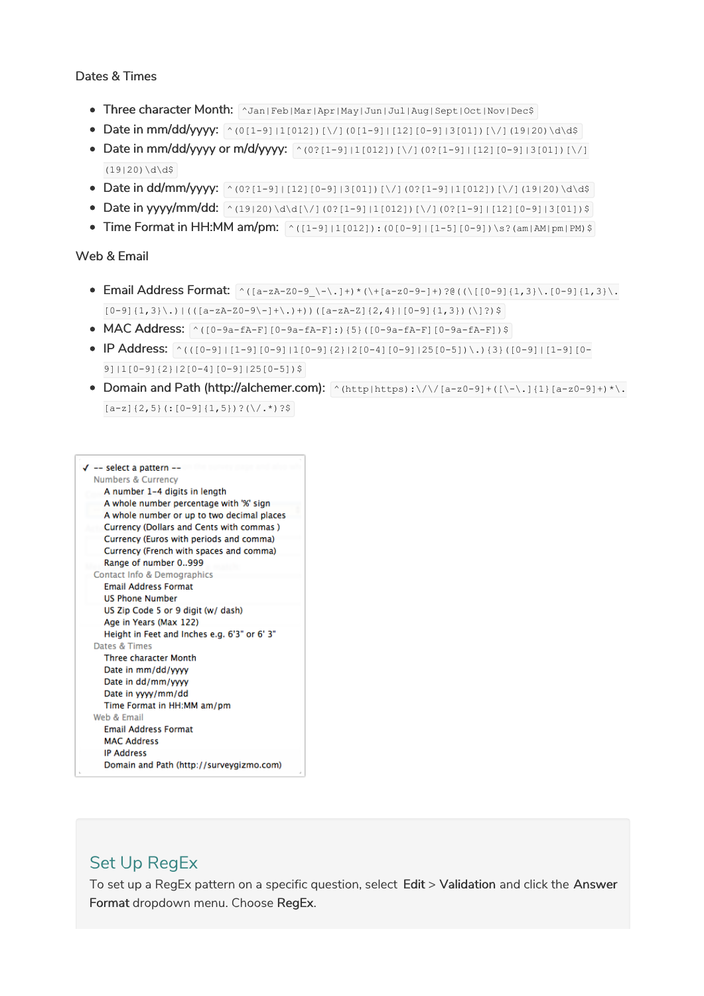#### Dates & Times

- Three character Month: ^Jan|Feb|Mar|Apr|May|Jun|Jul|Aug|Sept|Oct|Nov|Dec\$
- Date in mm/dd/yyyy: ^(0[1-9]|1[012])[\/](0[1-9]|[12][0-9]|3[01])[\/](19|20)\d\d\$
- Date in mm/dd/yyyy or m/d/yyyy:  $\sim (0.02(1-9)11(012))$  [\/](0.2[1-9][12][0-9][3[01])[\/]  $(19|20)\ddot{d}\ddot{5}$
- Date in dd/mm/yyyy: ^(0?[1-9]|[12][0-9]|3[01])[\/](0?[1-9]|1[012])[\/](19|20)\d\d\$
- Date in yyyy/mm/dd:  $\sim$  (19|20)\d\d[\/](0?[1-9]|1[012])[\/](0?[1-9]|[12][0-9]|3[01])\$
- Time Format in HH:MM am/pm:  $(1-91|1[012]):(0[0-9]+[1-5][0-9])\$  .  $(1-8)$

#### Web & Email

- Email Address Format:  $\wedge$ ([a-zA-Z0-9\_\-\.]+)\*(\+[a-z0-9-]+)?@((\[[0-9]{1,3}\.[0-9]{1,3}\.  $[0-9]{1,3}\\.)(\[a-zA-Z0-9\}-] + \..)$  $((a-zA-Z]{2,4}[2,4][0-9]{1,3})(\]$
- MAC Address:  $(0-9a-fA-F[(0-9a-fA-F]:)(5)((0-9a-fA-F][0-9a-fA-F])$ \$
- $\bullet$  IP Address:  $\land$ (([0-9]|[1-9][0-9]|1[0-9](2}|2[0-4][0-9][25[0-5])\.){3}([0-9]|[1-9][0- $9$ ]|1[0-9]{2}|2[0-4][0-9]|25[0-5])\$
- Domain and Path (http://alchemer.com): ^(http|https):\/\/[a-z0-9]+([\-\.]{1}[a-z0-9]+)\*\.  $[a-z](2,5)$  (:  $[0-9](1,5)$ )?(\/.\*)?\$



#### Set Up RegEx

To set up a RegEx pattern on a specific question, select Edit > Validation and click the Answer Format dropdown menu. Choose RegEx.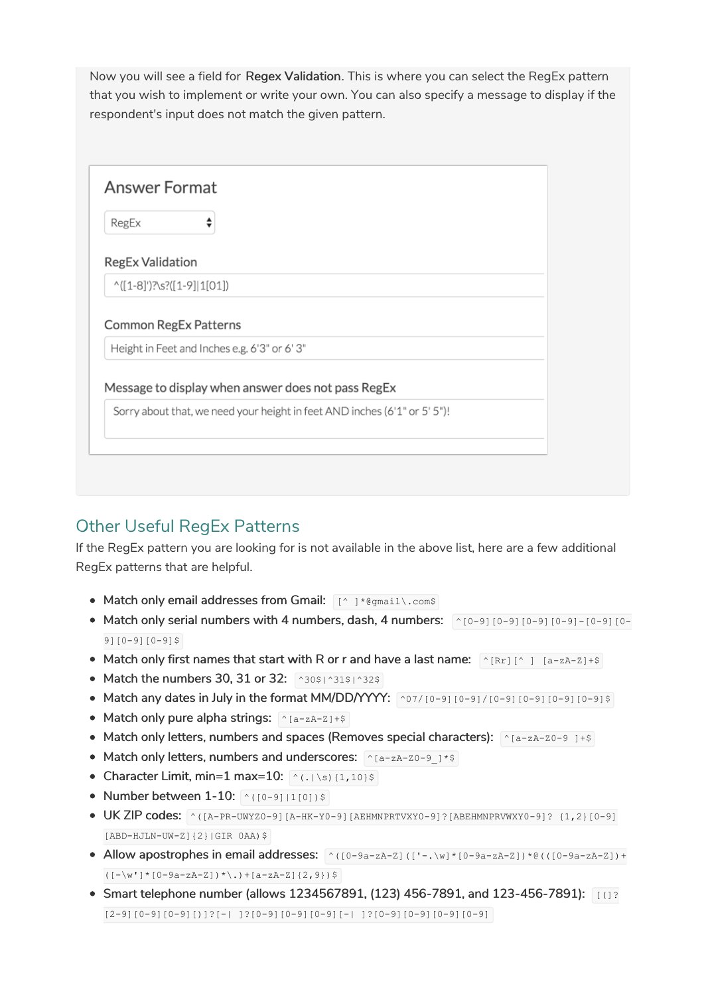Now you will see a field for Regex Validation. This is where you can select the RegEx pattern that you wish to implement or write your own. You can also specify a message to display if the respondent's input does not match the given pattern.

| RegEx                        | ⇡                                                  |
|------------------------------|----------------------------------------------------|
| <b>RegEx Validation</b>      |                                                    |
|                              |                                                    |
| $^(1-8)$ ')?\s?([1-9] 1[01]) |                                                    |
| <b>Common RegEx Patterns</b> | Height in Feet and Inches e.g. 6'3" or 6'3"        |
|                              | Message to display when answer does not pass RegEx |

# Other Useful RegEx Patterns

If the RegEx pattern you are looking for is not available in the above list, here are a few additional RegEx patterns that are helpful.

- Match only email addresses from Gmail:  $\lceil (N-1)^* \theta \text{g}_{\text{small}} \rangle$ .com\$
- Match only serial numbers with 4 numbers, dash, 4 numbers:  $\sim$  [0-9] [0-9] [0-9] [0-9] [0-9][0-9][0-9][0-9]\$
- Match only first names that start with R or r and have a last name:  $^{(A)}[Rr]$   $[A zA Z] + $$
- Match the numbers 30, 31 or 32:  $\sim 30$ \$|^31\$|^32\$
- Match any dates in July in the format MM/DD/YYYY:  $\sim 07/[0-9][0-9][0-9][0-9][0-9][0-9]$
- Match only pure alpha strings:  $\sqrt{\frac{2\pi}{a-zA-Z}+s}$
- Match only letters, numbers and spaces (Removes special characters):  $\wedge$  [a-zA-Z0-9 ]+\$
- Match only letters, numbers and underscores:  $\lceil \frac{x_{\text{[a-zA-Z0-9]}}}{x_{\text{[a-zA-Z0-9]}}}$
- Character Limit, min=1 max=10:  $\left( \frac{\wedge}{\wedge} (\cdot \wedge s) \{1,10\} \right)$
- Number between 1-10:  $(0-91|1[0])$ \$
- UK ZIP codes: ^([A-PR-UWYZ0-9][A-HK-Y0-9][AEHMNPRTVXY0-9]?[ABEHMNPRVWXY0-9]? {1,2}[0-9] [ABD-HJLN-UW-Z]{2}|GIR 0AA)\$
- Allow apostrophes in email addresses: ^([0-9a-zA-Z](['-.\w]\*[0-9a-zA-Z])\*@(([0-9a-zA-Z])+  $((-\vee \vee') * [0-9a-zA-Z]) * \cdot (a-zA-Z]$  { 2, 9 } ) \$
- $\bullet$  Smart telephone number (allows 1234567891, (123) 456-7891, and 123-456-7891): [(1?  $[2-9][0-9][0-9][1]$ ]?[-| ]? $[0-9][0-9][0-9][-1]$ ]? $[0-9][0-9][0-9][0-9]$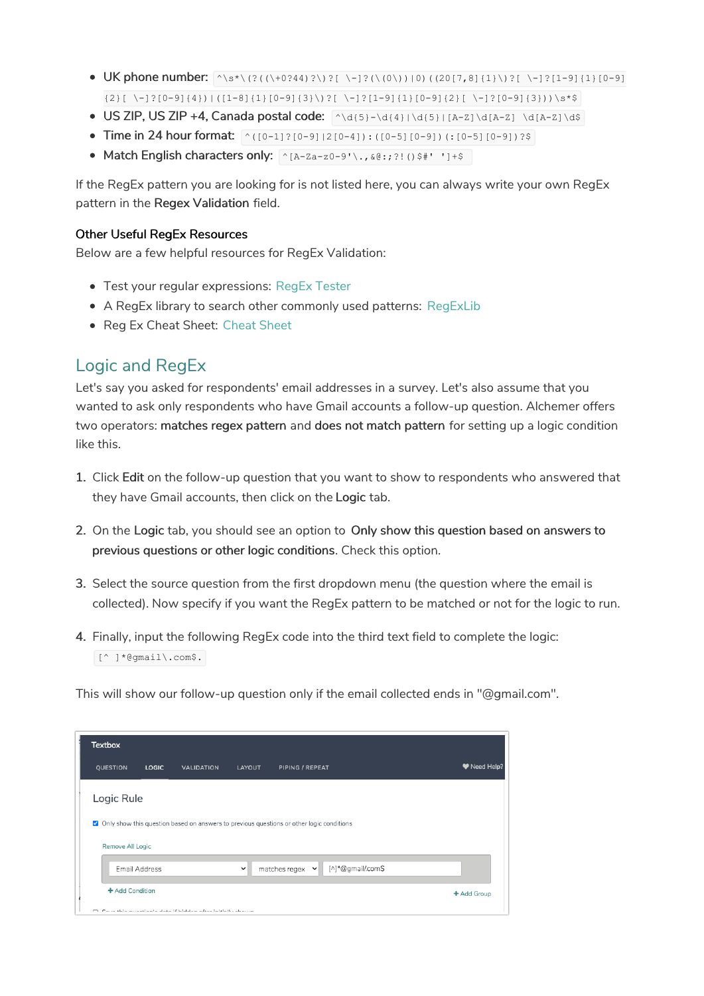- UK phone number:  $\wedge$ s\*\(?((\+0?44)?\)?[ \-]?(\(0\))|0)((20[7,8]{1}\)?[ \-]?[1-9]{1}[0-9]  $\{2\}$ [ \-]?[0-9]{4})|([1-8]{1}[0-9]{3}\)?[ \-]?[1-9]{1}[0-9]{2}[ \-]?[0-9]{3}))\s\*\$
- $\bullet$  US ZIP, US ZIP +4, Canada postal code:  $\left[\wedge\text{d}(5)-\text{d}(4)\right]\left(\text{d}(5)-[A-Z]\right)\text{d}(A-Z)$
- Time in 24 hour format:  $\wedge$ ([0-1]?[0-9]|2[0-4]):([0-5][0-9])(:[0-5][0-9])?\$
- Match English characters only:  $\bigcap_{A-Za-z0-9}$ '\.,  $\& 0; ?!$ ()\$#' ']+\$

If the RegEx pattern you are looking for is not listed here, you can always write your own RegEx pattern in the Regex Validation field.

#### Other Useful RegEx Resources

Below are a few helpful resources for RegEx Validation:

- Test your regular expressions: RegEx Tester
- A RegEx library to search other commonly used patterns: RegExLib
- Reg Ex Cheat Sheet: Cheat Sheet

### Logic and RegEx

Let's say you asked for respondents' email addresses in a survey. Let's also assume that you wanted to ask only respondents who have Gmail accounts a follow-up question. Alchemer offers two operators: matches regex pattern and does not match pattern for setting up a logic condition like this.

- 1. Click Edit on the follow-up question that you want to show to respondents who answered that they have Gmail accounts, then click on the Logic tab.
- 2. On the Logic tab, you should see an option to Only show this question based on answers to previous questions or other logic conditions. Check this option.
- 3. Select the source question from the first dropdown menu (the question where the email is collected). Now specify if you want the RegEx pattern to be matched or not for the logic to run.
- 4. Finally, input the following RegEx code into the third text field to complete the logic: [^ ]\*@gmail\.com\$.

This will show our follow-up question only if the email collected ends in "@gmail.com".

| <b>Textbox</b>   |               |                                                                                          |              |                               |                   |              |
|------------------|---------------|------------------------------------------------------------------------------------------|--------------|-------------------------------|-------------------|--------------|
| QUESTION         | LOGIC         | <b>VALIDATION</b>                                                                        | LAYOUT       | PIPING / REPEAT               |                   | W Need Help? |
| Logic Rule       |               | Only show this question based on answers to previous questions or other logic conditions |              |                               |                   |              |
| Remove All Logic |               |                                                                                          |              |                               |                   |              |
| + Add Condition  | Email Address |                                                                                          | $\checkmark$ | matches regex<br>$\checkmark$ | [^]*@gmail/.com\$ |              |
|                  |               | Councillots arranged and alone if initiates affect initially above as                    |              |                               |                   | + Add Group  |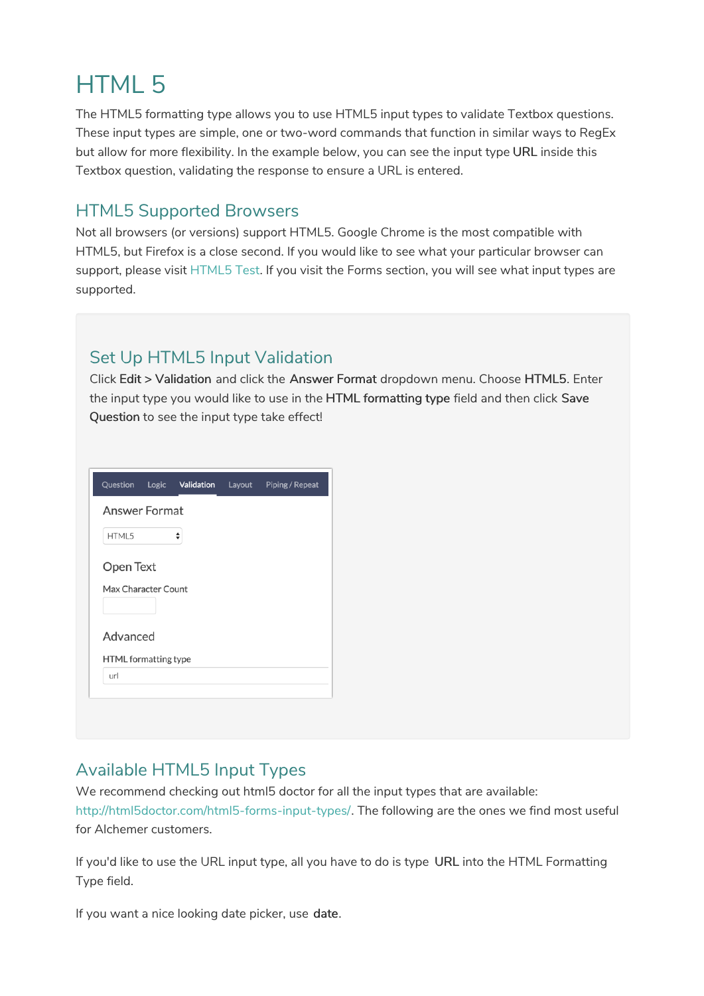# HTML 5

The HTML5 formatting type allows you to use HTML5 input types to validate Textbox questions. These input types are simple, one or two-word commands that function in similar ways to RegEx but allow for more flexibility. In the example below, you can see the input type URL inside this Textbox question, validating the response to ensure a URL is entered.

## HTML5 Supported Browsers

Not all browsers (or versions) support HTML5. Google Chrome is the most compatible with HTML5, but Firefox is a close second. If you would like to see what your particular browser can support, please visit HTML5 Test. If you visit the Forms section, you will see what input types are supported.

### Set Up HTML5 Input Validation

Click Edit > Validation and click the Answer Format dropdown menu. Choose HTML5. Enter the input type you would like to use in the HTML formatting type field and then click Save Question to see the input type take effect!

| Question             | Logic Validation | Layout | Piping / Repeat |
|----------------------|------------------|--------|-----------------|
| <b>Answer Format</b> |                  |        |                 |
| HTML5                | ♦                |        |                 |
| Open Text            |                  |        |                 |
| Max Character Count  |                  |        |                 |
| Advanced             |                  |        |                 |
| HTML formatting type |                  |        |                 |
| url                  |                  |        |                 |
|                      |                  |        |                 |
|                      |                  |        |                 |

### Available HTML5 Input Types

We recommend checking out html5 doctor for all the input types that are available:

http://html5doctor.com/html5-forms-input-types/. The following are the ones we find most useful for Alchemer customers.

If you'd like to use the URL input type, all you have to do is type URL into the HTML Formatting Type field.

If you want a nice looking date picker, use date.